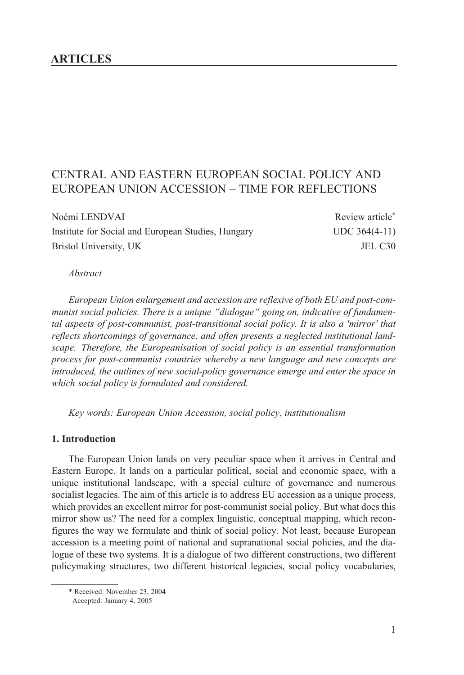### **ARTICLES**

# CENTRAL AND EASTERN EUROPEAN SOCIAL POLICY AND EUROPEAN UNION ACCESSION – TIME FOR REFLECTIONS

Noémi LENDVAI Review article\* Institute for Social and European Studies, Hungary UDC 364(4-11) Bristol University, UK JEL C30

*Abstract*

*European Union enlargement and accession are reflexive of both EU and post-communist social policies. There is a unique "dialogue" going on, indicative of fundamental aspects of post-communist, post-transitional social policy. It is also a 'mirror' that reflects shortcomings of governance, and often presents a neglected institutional landscape. Therefore, the Europeanisation of social policy is an essential transformation process for post-communist countries whereby a new language and new concepts are introduced, the outlines of new social-policy governance emerge and enter the space in which social policy is formulated and considered.* 

*Key words: European Union Accession, social policy, institutionalism*

#### **1. Introduction**

The European Union lands on very peculiar space when it arrives in Central and Eastern Europe. It lands on a particular political, social and economic space, with a unique institutional landscape, with a special culture of governance and numerous socialist legacies. The aim of this article is to address EU accession as a unique process, which provides an excellent mirror for post-communist social policy. But what does this mirror show us? The need for a complex linguistic, conceptual mapping, which reconfigures the way we formulate and think of social policy. Not least, because European accession is a meeting point of national and supranational social policies, and the dialogue of these two systems. It is a dialogue of two different constructions, two different policymaking structures, two different historical legacies, social policy vocabularies,

<sup>\*</sup> Received: November 23, 2004

Accepted: January 4, 2005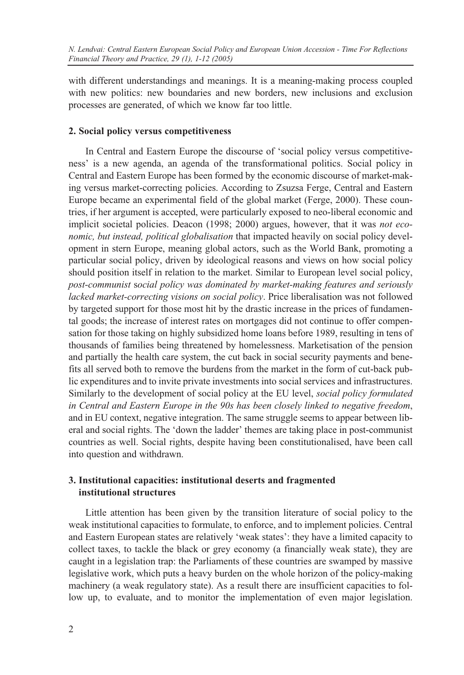with different understandings and meanings. It is a meaning-making process coupled with new politics: new boundaries and new borders, new inclusions and exclusion processes are generated, of which we know far too little.

### **2. Social policy versus competitiveness**

In Central and Eastern Europe the discourse of 'social policy versus competitiveness' is a new agenda, an agenda of the transformational politics. Social policy in Central and Eastern Europe has been formed by the economic discourse of market-making versus market-correcting policies. According to Zsuzsa Ferge, Central and Eastern Europe became an experimental field of the global market (Ferge, 2000). These countries, if her argument is accepted, were particularly exposed to neo-liberal economic and implicit societal policies. Deacon (1998; 2000) argues, however, that it was *not economic, but instead, political globalisation* that impacted heavily on social policy development in stern Europe, meaning global actors, such as the World Bank, promoting a particular social policy, driven by ideological reasons and views on how social policy should position itself in relation to the market. Similar to European level social policy, *post-communist* s*ocial policy was dominated by market-making features and seriously lacked market-correcting visions on social policy*. Price liberalisation was not followed by targeted support for those most hit by the drastic increase in the prices of fundamental goods; the increase of interest rates on mortgages did not continue to offer compensation for those taking on highly subsidized home loans before 1989, resulting in tens of thousands of families being threatened by homelessness. Marketisation of the pension and partially the health care system, the cut back in social security payments and benefits all served both to remove the burdens from the market in the form of cut-back public expenditures and to invite private investments into social services and infrastructures. Similarly to the development of social policy at the EU level, *social policy formulated in Central and Eastern Europe in the 90s has been closely linked to negative freedom*, and in EU context, negative integration. The same struggle seems to appear between liberal and social rights. The 'down the ladder' themes are taking place in post-communist countries as well. Social rights, despite having been constitutionalised, have been call into question and withdrawn.

### **3. Institutional capacities: institutional deserts and fragmented institutional structures**

Little attention has been given by the transition literature of social policy to the weak institutional capacities to formulate, to enforce, and to implement policies. Central and Eastern European states are relatively 'weak states': they have a limited capacity to collect taxes, to tackle the black or grey economy (a financially weak state), they are caught in a legislation trap: the Parliaments of these countries are swamped by massive legislative work, which puts a heavy burden on the whole horizon of the policy-making machinery (a weak regulatory state). As a result there are insufficient capacities to follow up, to evaluate, and to monitor the implementation of even major legislation.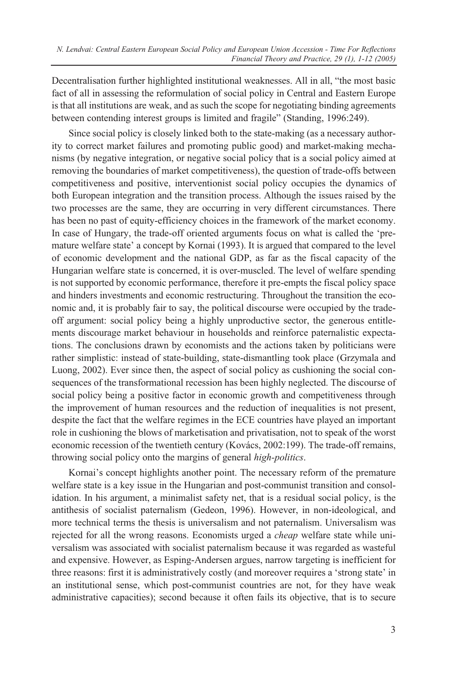Decentralisation further highlighted institutional weaknesses. All in all, "the most basic fact of all in assessing the reformulation of social policy in Central and Eastern Europe is that all institutions are weak, and as such the scope for negotiating binding agreements between contending interest groups is limited and fragile" (Standing, 1996:249).

Since social policy is closely linked both to the state-making (as a necessary authority to correct market failures and promoting public good) and market-making mechanisms (by negative integration, or negative social policy that is a social policy aimed at removing the boundaries of market competitiveness), the question of trade-offs between competitiveness and positive, interventionist social policy occupies the dynamics of both European integration and the transition process. Although the issues raised by the two processes are the same, they are occurring in very different circumstances. There has been no past of equity-efficiency choices in the framework of the market economy. In case of Hungary, the trade-off oriented arguments focus on what is called the 'premature welfare state' a concept by Kornai (1993). It is argued that compared to the level of economic development and the national GDP, as far as the fiscal capacity of the Hungarian welfare state is concerned, it is over-muscled. The level of welfare spending is not supported by economic performance, therefore it pre-empts the fiscal policy space and hinders investments and economic restructuring. Throughout the transition the economic and, it is probably fair to say, the political discourse were occupied by the tradeoff argument: social policy being a highly unproductive sector, the generous entitlements discourage market behaviour in households and reinforce paternalistic expectations. The conclusions drawn by economists and the actions taken by politicians were rather simplistic: instead of state-building, state-dismantling took place (Grzymala and Luong, 2002). Ever since then, the aspect of social policy as cushioning the social consequences of the transformational recession has been highly neglected. The discourse of social policy being a positive factor in economic growth and competitiveness through the improvement of human resources and the reduction of inequalities is not present, despite the fact that the welfare regimes in the ECE countries have played an important role in cushioning the blows of marketisation and privatisation, not to speak of the worst economic recession of the twentieth century (Kovács, 2002:199). The trade-off remains, throwing social policy onto the margins of general *high-politics*.

Kornai's concept highlights another point. The necessary reform of the premature welfare state is a key issue in the Hungarian and post-communist transition and consolidation. In his argument, a minimalist safety net, that is a residual social policy, is the antithesis of socialist paternalism (Gedeon, 1996). However, in non-ideological, and more technical terms the thesis is universalism and not paternalism. Universalism was rejected for all the wrong reasons. Economists urged a *cheap* welfare state while universalism was associated with socialist paternalism because it was regarded as wasteful and expensive. However, as Esping-Andersen argues, narrow targeting is inefficient for three reasons: first it is administratively costly (and moreover requires a 'strong state' in an institutional sense, which post-communist countries are not, for they have weak administrative capacities); second because it often fails its objective, that is to secure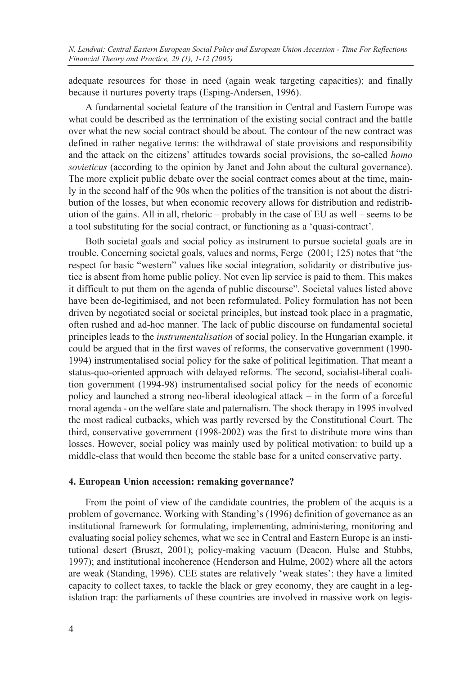adequate resources for those in need (again weak targeting capacities); and finally because it nurtures poverty traps (Esping-Andersen, 1996).

A fundamental societal feature of the transition in Central and Eastern Europe was what could be described as the termination of the existing social contract and the battle over what the new social contract should be about. The contour of the new contract was defined in rather negative terms: the withdrawal of state provisions and responsibility and the attack on the citizens' attitudes towards social provisions, the so-called *homo sovieticus* (according to the opinion by Janet and John about the cultural governance). The more explicit public debate over the social contract comes about at the time, mainly in the second half of the 90s when the politics of the transition is not about the distribution of the losses, but when economic recovery allows for distribution and redistribution of the gains. All in all, rhetoric – probably in the case of EU as well – seems to be a tool substituting for the social contract, or functioning as a 'quasi-contract'.

Both societal goals and social policy as instrument to pursue societal goals are in trouble. Concerning societal goals, values and norms, Ferge (2001; 125) notes that "the respect for basic "western" values like social integration, solidarity or distributive justice is absent from home public policy. Not even lip service is paid to them. This makes it difficult to put them on the agenda of public discourse". Societal values listed above have been de-legitimised, and not been reformulated. Policy formulation has not been driven by negotiated social or societal principles, but instead took place in a pragmatic, often rushed and ad-hoc manner. The lack of public discourse on fundamental societal principles leads to the *instrumentalisation* of social policy. In the Hungarian example, it could be argued that in the first waves of reforms, the conservative government (1990- 1994) instrumentalised social policy for the sake of political legitimation. That meant a status-quo-oriented approach with delayed reforms. The second, socialist-liberal coalition government (1994-98) instrumentalised social policy for the needs of economic policy and launched a strong neo-liberal ideological attack – in the form of a forceful moral agenda - on the welfare state and paternalism. The shock therapy in 1995 involved the most radical cutbacks, which was partly reversed by the Constitutional Court. The third, conservative government (1998-2002) was the first to distribute more wins than losses. However, social policy was mainly used by political motivation: to build up a middle-class that would then become the stable base for a united conservative party.

#### **4. European Union accession: remaking governance?**

From the point of view of the candidate countries, the problem of the acquis is a problem of governance. Working with Standing's (1996) definition of governance as an institutional framework for formulating, implementing, administering, monitoring and evaluating social policy schemes, what we see in Central and Eastern Europe is an institutional desert (Bruszt, 2001); policy-making vacuum (Deacon, Hulse and Stubbs, 1997); and institutional incoherence (Henderson and Hulme, 2002) where all the actors are weak (Standing, 1996). CEE states are relatively 'weak states': they have a limited capacity to collect taxes, to tackle the black or grey economy, they are caught in a legislation trap: the parliaments of these countries are involved in massive work on legis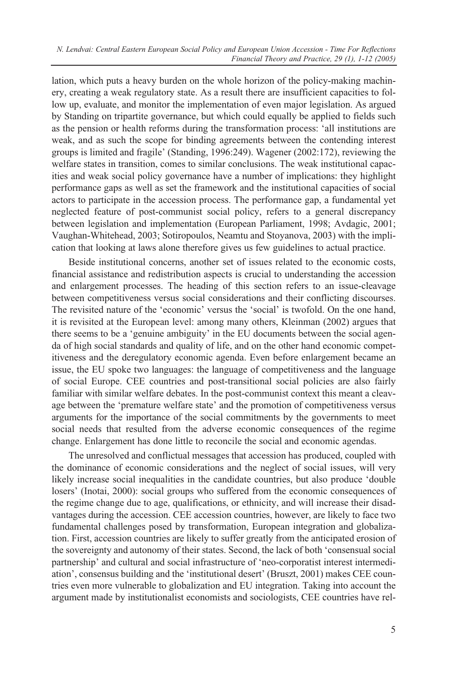*N. Lendvai: Central Eastern European Social Policy and European Union Accession - Time For Reflections Financial Theory and Practice, 29 (1), 1-12 (2005)*

lation, which puts a heavy burden on the whole horizon of the policy-making machinery, creating a weak regulatory state. As a result there are insufficient capacities to follow up, evaluate, and monitor the implementation of even major legislation. As argued by Standing on tripartite governance, but which could equally be applied to fields such as the pension or health reforms during the transformation process: 'all institutions are weak, and as such the scope for binding agreements between the contending interest groups is limited and fragile' (Standing, 1996:249). Wagener (2002:172), reviewing the welfare states in transition, comes to similar conclusions. The weak institutional capacities and weak social policy governance have a number of implications: they highlight performance gaps as well as set the framework and the institutional capacities of social actors to participate in the accession process. The performance gap, a fundamental yet neglected feature of post-communist social policy, refers to a general discrepancy between legislation and implementation (European Parliament, 1998; Avdagic, 2001; Vaughan-Whitehead, 2003; Sotiropoulos, Neamtu and Stoyanova, 2003) with the implication that looking at laws alone therefore gives us few guidelines to actual practice.

Beside institutional concerns, another set of issues related to the economic costs, financial assistance and redistribution aspects is crucial to understanding the accession and enlargement processes. The heading of this section refers to an issue-cleavage between competitiveness versus social considerations and their conflicting discourses. The revisited nature of the 'economic' versus the 'social' is twofold. On the one hand, it is revisited at the European level: among many others, Kleinman (2002) argues that there seems to be a 'genuine ambiguity' in the EU documents between the social agenda of high social standards and quality of life, and on the other hand economic competitiveness and the deregulatory economic agenda. Even before enlargement became an issue, the EU spoke two languages: the language of competitiveness and the language of social Europe. CEE countries and post-transitional social policies are also fairly familiar with similar welfare debates. In the post-communist context this meant a cleavage between the 'premature welfare state' and the promotion of competitiveness versus arguments for the importance of the social commitments by the governments to meet social needs that resulted from the adverse economic consequences of the regime change. Enlargement has done little to reconcile the social and economic agendas.

The unresolved and conflictual messages that accession has produced, coupled with the dominance of economic considerations and the neglect of social issues, will very likely increase social inequalities in the candidate countries, but also produce 'double losers' (Inotai, 2000): social groups who suffered from the economic consequences of the regime change due to age, qualifications, or ethnicity, and will increase their disadvantages during the accession. CEE accession countries, however, are likely to face two fundamental challenges posed by transformation, European integration and globalization. First, accession countries are likely to suffer greatly from the anticipated erosion of the sovereignty and autonomy of their states. Second, the lack of both 'consensual social partnership' and cultural and social infrastructure of 'neo-corporatist interest intermediation', consensus building and the 'institutional desert' (Bruszt, 2001) makes CEE countries even more vulnerable to globalization and EU integration. Taking into account the argument made by institutionalist economists and sociologists, CEE countries have rel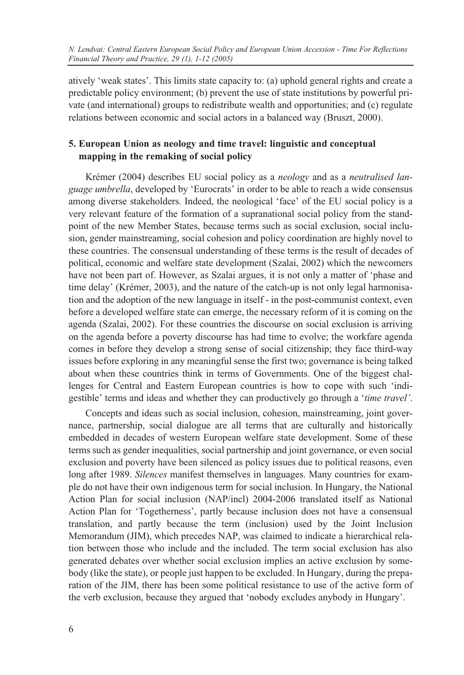atively 'weak states'. This limits state capacity to: (a) uphold general rights and create a predictable policy environment; (b) prevent the use of state institutions by powerful private (and international) groups to redistribute wealth and opportunities; and (c) regulate relations between economic and social actors in a balanced way (Bruszt, 2000).

## **5. European Union as neology and time travel: linguistic and conceptual mapping in the remaking of social policy**

Krémer (2004) describes EU social policy as a *neology* and as a *neutralised language umbrella*, developed by 'Eurocrats' in order to be able to reach a wide consensus among diverse stakeholders. Indeed, the neological 'face' of the EU social policy is a very relevant feature of the formation of a supranational social policy from the standpoint of the new Member States, because terms such as social exclusion, social inclusion, gender mainstreaming, social cohesion and policy coordination are highly novel to these countries. The consensual understanding of these terms is the result of decades of political, economic and welfare state development (Szalai, 2002) which the newcomers have not been part of. However, as Szalai argues, it is not only a matter of 'phase and time delay' (Krémer, 2003), and the nature of the catch-up is not only legal harmonisation and the adoption of the new language in itself - in the post-communist context, even before a developed welfare state can emerge, the necessary reform of it is coming on the agenda (Szalai, 2002). For these countries the discourse on social exclusion is arriving on the agenda before a poverty discourse has had time to evolve; the workfare agenda comes in before they develop a strong sense of social citizenship; they face third-way issues before exploring in any meaningful sense the first two; governance is being talked about when these countries think in terms of Governments. One of the biggest challenges for Central and Eastern European countries is how to cope with such 'indigestible' terms and ideas and whether they can productively go through a '*time travel'*.

Concepts and ideas such as social inclusion, cohesion, mainstreaming, joint governance, partnership, social dialogue are all terms that are culturally and historically embedded in decades of western European welfare state development. Some of these terms such as gender inequalities, social partnership and joint governance, or even social exclusion and poverty have been silenced as policy issues due to political reasons, even long after 1989. *Silences* manifest themselves in languages. Many countries for example do not have their own indigenous term for social inclusion. In Hungary, the National Action Plan for social inclusion (NAP/incl) 2004-2006 translated itself as National Action Plan for 'Togetherness', partly because inclusion does not have a consensual translation, and partly because the term (inclusion) used by the Joint Inclusion Memorandum (JIM), which precedes NAP, was claimed to indicate a hierarchical relation between those who include and the included. The term social exclusion has also generated debates over whether social exclusion implies an active exclusion by somebody (like the state), or people just happen to be excluded. In Hungary, during the preparation of the JIM, there has been some political resistance to use of the active form of the verb exclusion, because they argued that 'nobody excludes anybody in Hungary'.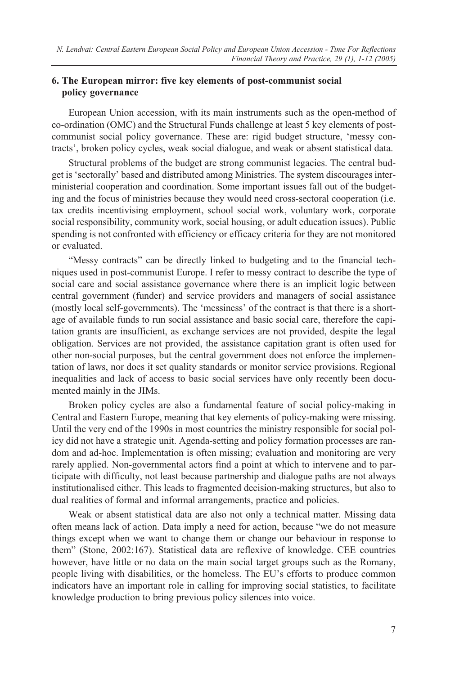### **6. The European mirror: five key elements of post-communist social policy governance**

European Union accession, with its main instruments such as the open-method of co-ordination (OMC) and the Structural Funds challenge at least 5 key elements of postcommunist social policy governance. These are: rigid budget structure, 'messy contracts', broken policy cycles, weak social dialogue, and weak or absent statistical data.

Structural problems of the budget are strong communist legacies. The central budget is 'sectorally' based and distributed among Ministries. The system discourages interministerial cooperation and coordination. Some important issues fall out of the budgeting and the focus of ministries because they would need cross-sectoral cooperation (i.e. tax credits incentivising employment, school social work, voluntary work, corporate social responsibility, community work, social housing, or adult education issues). Public spending is not confronted with efficiency or efficacy criteria for they are not monitored or evaluated.

"Messy contracts" can be directly linked to budgeting and to the financial techniques used in post-communist Europe. I refer to messy contract to describe the type of social care and social assistance governance where there is an implicit logic between central government (funder) and service providers and managers of social assistance (mostly local self-governments). The 'messiness' of the contract is that there is a shortage of available funds to run social assistance and basic social care, therefore the capitation grants are insufficient, as exchange services are not provided, despite the legal obligation. Services are not provided, the assistance capitation grant is often used for other non-social purposes, but the central government does not enforce the implementation of laws, nor does it set quality standards or monitor service provisions. Regional inequalities and lack of access to basic social services have only recently been documented mainly in the JIMs.

Broken policy cycles are also a fundamental feature of social policy-making in Central and Eastern Europe, meaning that key elements of policy-making were missing. Until the very end of the 1990s in most countries the ministry responsible for social policy did not have a strategic unit. Agenda-setting and policy formation processes are random and ad-hoc. Implementation is often missing; evaluation and monitoring are very rarely applied. Non-governmental actors find a point at which to intervene and to participate with difficulty, not least because partnership and dialogue paths are not always institutionalised either. This leads to fragmented decision-making structures, but also to dual realities of formal and informal arrangements, practice and policies.

Weak or absent statistical data are also not only a technical matter. Missing data often means lack of action. Data imply a need for action, because "we do not measure things except when we want to change them or change our behaviour in response to them" (Stone, 2002:167). Statistical data are reflexive of knowledge. CEE countries however, have little or no data on the main social target groups such as the Romany, people living with disabilities, or the homeless. The EU's efforts to produce common indicators have an important role in calling for improving social statistics, to facilitate knowledge production to bring previous policy silences into voice.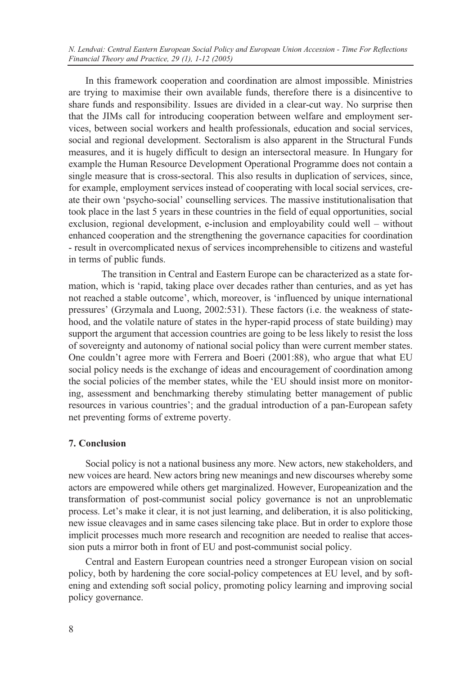*N. Lendvai: Central Eastern European Social Policy and European Union Accession - Time For Reflections Financial Theory and Practice, 29 (1), 1-12 (2005)*

In this framework cooperation and coordination are almost impossible. Ministries are trying to maximise their own available funds, therefore there is a disincentive to share funds and responsibility. Issues are divided in a clear-cut way. No surprise then that the JIMs call for introducing cooperation between welfare and employment services, between social workers and health professionals, education and social services, social and regional development. Sectoralism is also apparent in the Structural Funds measures, and it is hugely difficult to design an intersectoral measure. In Hungary for example the Human Resource Development Operational Programme does not contain a single measure that is cross-sectoral. This also results in duplication of services, since, for example, employment services instead of cooperating with local social services, create their own 'psycho-social' counselling services. The massive institutionalisation that took place in the last 5 years in these countries in the field of equal opportunities, social exclusion, regional development, e-inclusion and employability could well – without enhanced cooperation and the strengthening the governance capacities for coordination - result in overcomplicated nexus of services incomprehensible to citizens and wasteful in terms of public funds.

The transition in Central and Eastern Europe can be characterized as a state formation, which is 'rapid, taking place over decades rather than centuries, and as yet has not reached a stable outcome', which, moreover, is 'influenced by unique international pressures' (Grzymala and Luong, 2002:531). These factors (i.e. the weakness of statehood, and the volatile nature of states in the hyper-rapid process of state building) may support the argument that accession countries are going to be less likely to resist the loss of sovereignty and autonomy of national social policy than were current member states. One couldn't agree more with Ferrera and Boeri (2001:88), who argue that what EU social policy needs is the exchange of ideas and encouragement of coordination among the social policies of the member states, while the 'EU should insist more on monitoring, assessment and benchmarking thereby stimulating better management of public resources in various countries'; and the gradual introduction of a pan-European safety net preventing forms of extreme poverty.

#### **7. Conclusion**

Social policy is not a national business any more. New actors, new stakeholders, and new voices are heard. New actors bring new meanings and new discourses whereby some actors are empowered while others get marginalized. However, Europeanization and the transformation of post-communist social policy governance is not an unproblematic process. Let's make it clear, it is not just learning, and deliberation, it is also politicking, new issue cleavages and in same cases silencing take place. But in order to explore those implicit processes much more research and recognition are needed to realise that accession puts a mirror both in front of EU and post-communist social policy.

Central and Eastern European countries need a stronger European vision on social policy, both by hardening the core social-policy competences at EU level, and by softening and extending soft social policy, promoting policy learning and improving social policy governance.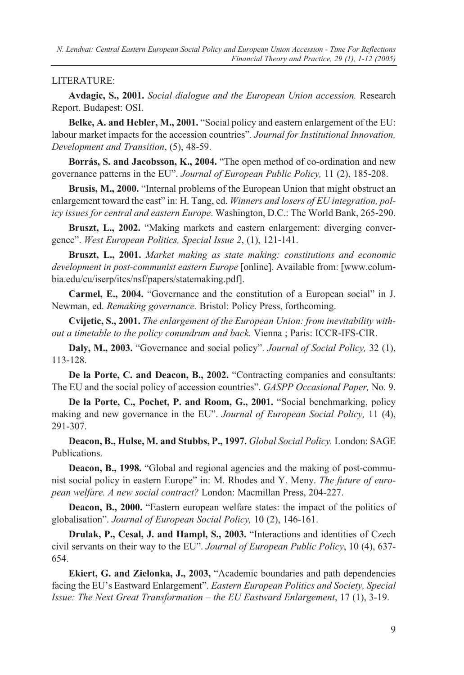#### LITERATURE:

**Avdagic, S., 2001.** *Social dialogue and the European Union accession.* Research Report. Budapest: OSI.

**Belke, A. and Hebler, M., 2001.** "Social policy and eastern enlargement of the EU: labour market impacts for the accession countries". *Journal for Institutional Innovation, Development and Transition*, (5), 48-59.

**Borrás, S. and Jacobsson, K., 2004.** "The open method of co-ordination and new governance patterns in the EU". *Journal of European Public Policy,* 11 (2), 185-208.

**Brusis, M., 2000.** "Internal problems of the European Union that might obstruct an enlargement toward the east" in: H. Tang, ed. *Winners and losers of EU integration, policy issues for central and eastern Europe*. Washington, D.C.: The World Bank, 265-290.

**Bruszt, L., 2002.** "Making markets and eastern enlargement: diverging convergence". *West European Politics, Special Issue 2*, (1), 121-141.

**Bruszt, L., 2001.** *Market making as state making: constitutions and economic development in post-communist eastern Europe* [online]. Available from: [www.columbia.edu/cu/iserp/itcs/nsf/papers/statemaking.pdf].

**Carmel, E., 2004.** "Governance and the constitution of a European social" in J. Newman, ed. *Remaking governance.* Bristol: Policy Press, forthcoming.

**Cvijetic, S., 2001.** *The enlargement of the European Union: from inevitability without a timetable to the policy conundrum and back.* Vienna ; Paris: ICCR-IFS-CIR.

**Daly, M., 2003.** "Governance and social policy". *Journal of Social Policy,* 32 (1), 113-128.

**De la Porte, C. and Deacon, B., 2002.** "Contracting companies and consultants: The EU and the social policy of accession countries". *GASPP Occasional Paper,* No. 9.

**De la Porte, C., Pochet, P. and Room, G., 2001.** "Social benchmarking, policy making and new governance in the EU". *Journal of European Social Policy,* 11 (4), 291-307.

**Deacon, B., Hulse, M. and Stubbs, P., 1997.** *Global Social Policy.* London: SAGE Publications.

**Deacon, B., 1998.** "Global and regional agencies and the making of post-communist social policy in eastern Europe" in: M. Rhodes and Y. Meny. *The future of european welfare. A new social contract?* London: Macmillan Press, 204-227.

**Deacon, B., 2000.** "Eastern european welfare states: the impact of the politics of globalisation". *Journal of European Social Policy,* 10 (2), 146-161.

**Drulak, P., Cesal, J. and Hampl, S., 2003.** "Interactions and identities of Czech civil servants on their way to the EU". *Journal of European Public Policy*, 10 (4), 637- 654.

**Ekiert, G. and Zielonka, J., 2003,** "Academic boundaries and path dependencies facing the EU's Eastward Enlargement". *Eastern European Politics and Society, Special Issue: The Next Great Transformation – the EU Eastward Enlargement*, 17 (1), 3-19.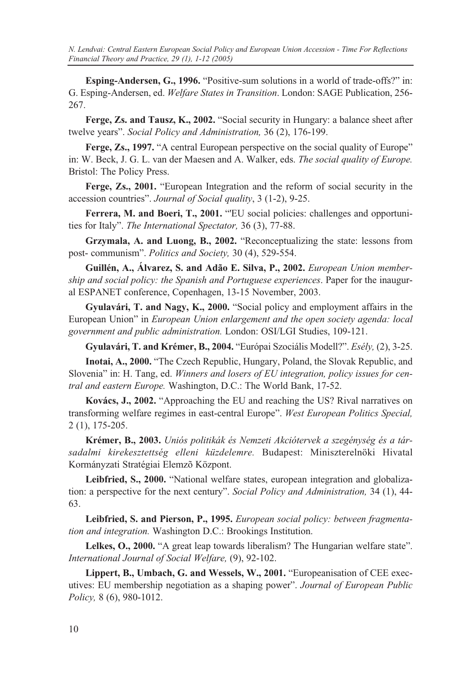*N. Lendvai: Central Eastern European Social Policy and European Union Accession - Time For Reflections Financial Theory and Practice, 29 (1), 1-12 (2005)*

**Esping-Andersen, G., 1996.** "Positive-sum solutions in a world of trade-offs?" in: G. Esping-Andersen, ed. *Welfare States in Transition*. London: SAGE Publication, 256- 267.

**Ferge, Zs. and Tausz, K., 2002.** "Social security in Hungary: a balance sheet after twelve years". *Social Policy and Administration,* 36 (2), 176-199.

Ferge, Zs., 1997. "A central European perspective on the social quality of Europe" in: W. Beck, J. G. L. van der Maesen and A. Walker, eds. *The social quality of Europe.* Bristol: The Policy Press.

**Ferge, Zs., 2001.** "European Integration and the reform of social security in the accession countries". *Journal of Social quality*, 3 (1-2), 9-25.

**Ferrera, M. and Boeri, T., 2001.** "'EU social policies: challenges and opportunities for Italy". *The International Spectator,* 36 (3), 77-88.

**Grzymala, A. and Luong, B., 2002.** "Reconceptualizing the state: lessons from post- communism". *Politics and Society,* 30 (4), 529-554.

**Guillén, A., Álvarez, S. and Adão E. Silva, P., 2002.** *European Union membership and social policy: the Spanish and Portuguese experiences*. Paper for the inaugural ESPANET conference, Copenhagen, 13-15 November, 2003.

**Gyulavári, T. and Nagy, K., 2000.** "Social policy and employment affairs in the European Union" in *European Union enlargement and the open society agenda: local government and public administration.* London: OSI/LGI Studies, 109-121.

**Gyulavári, T. and Krémer, B., 2004.** "Európai Szociális Modell?". *Esély,* (2), 3-25.

**Inotai, A., 2000.** "The Czech Republic, Hungary, Poland, the Slovak Republic, and Slovenia" in: H. Tang, ed. *Winners and losers of EU integration, policy issues for central and eastern Europe.* Washington, D.C.: The World Bank, 17-52.

**Kovács, J., 2002.** "Approaching the EU and reaching the US? Rival narratives on transforming welfare regimes in east-central Europe". *West European Politics Special,* 2 (1), 175-205.

**Krémer, B., 2003.** *Uniós politikák és Nemzeti Akciótervek a szegénység és a társadalmi kirekesztettség elleni küzdelemre.* Budapest: Miniszterelnöki Hivatal Kormányzati Stratégiai Elemzõ Központ.

**Leibfried, S., 2000.** "National welfare states, european integration and globalization: a perspective for the next century". *Social Policy and Administration,* 34 (1), 44- 63.

**Leibfried, S. and Pierson, P., 1995.** *European social policy: between fragmentation and integration.* Washington D.C.: Brookings Institution.

Lelkes, O., 2000. "A great leap towards liberalism? The Hungarian welfare state". *International Journal of Social Welfare,* (9), 92-102.

**Lippert, B., Umbach, G. and Wessels, W., 2001.** "Europeanisation of CEE executives: EU membership negotiation as a shaping power". *Journal of European Public Policy,* 8 (6), 980-1012.